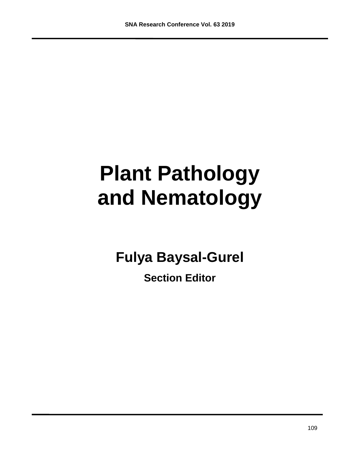# **Plant Pathology and Nematology**

**Fulya Baysal-Gurel**

**Section Editor**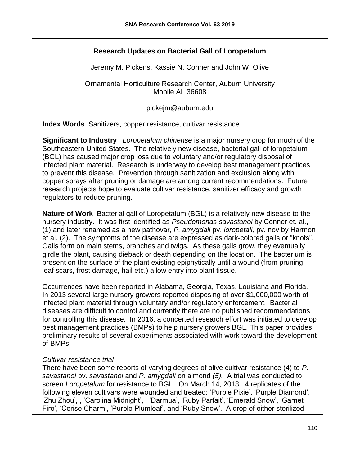## **Research Updates on Bacterial Gall of Loropetalum**

Jeremy M. Pickens, Kassie N. Conner and John W. Olive

Ornamental Horticulture Research Center, Auburn University Mobile AL 36608

pickejm@auburn.edu

**Index Words** Sanitizers, copper resistance, cultivar resistance

**Significant to Industry** *Loropetalum chinense* is a major nursery crop for much of the Southeastern United States. The relatively new disease, bacterial gall of loropetalum (BGL) has caused major crop loss due to voluntary and/or regulatory disposal of infected plant material. Research is underway to develop best management practices to prevent this disease. Prevention through sanitization and exclusion along with copper sprays after pruning or damage are among current recommendations. Future research projects hope to evaluate cultivar resistance, sanitizer efficacy and growth regulators to reduce pruning.

**Nature of Work** Bacterial gall of Loropetalum (BGL) is a relatively new disease to the nursery industry. It was first identified as *Pseudomonas savastanoi* by Conner et. al., (1) and later renamed as a new pathovar, *P. amygdali* pv. *loropetali,* pv. nov by Harmon et al. (2). The symptoms of the disease are expressed as dark-colored galls or "knots". Galls form on main stems, branches and twigs. As these galls grow, they eventually girdle the plant, causing dieback or death depending on the location. The bacterium is present on the surface of the plant existing epiphytically until a wound (from pruning, leaf scars, frost damage, hail etc.) allow entry into plant tissue.

Occurrences have been reported in Alabama, Georgia, Texas, Louisiana and Florida. In 2013 several large nursery growers reported disposing of over \$1,000,000 worth of infected plant material through voluntary and/or regulatory enforcement. Bacterial diseases are difficult to control and currently there are no published recommendations for controlling this disease. In 2016, a concerted research effort was initiated to develop best management practices (BMPs) to help nursery growers BGL. This paper provides preliminary results of several experiments associated with work toward the development of BMPs.

## *Cultivar resistance trial*

There have been some reports of varying degrees of olive cultivar resistance (4) to *P. savastanoi* pv. *savastanoi* and *P. amygdali* on almond *(5).* A trial was conducted to screen *Loropetalum* for resistance to BGL. On March 14, 2018 , 4 replicates of the following eleven cultivars were wounded and treated: 'Purple Pixie', 'Purple Diamond', 'Zhu Zhou', , 'Carolina Midnight', 'Darmua', 'Ruby Parfait', 'Emerald Snow', 'Garnet Fire', 'Cerise Charm', 'Purple Plumleaf', and 'Ruby Snow'. A drop of either sterilized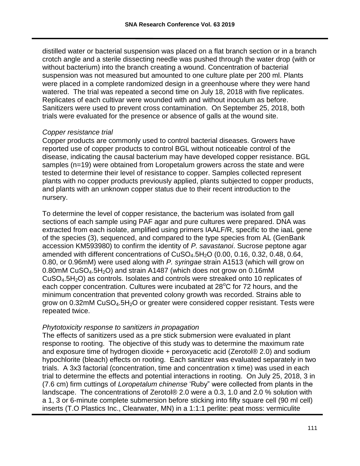distilled water or bacterial suspension was placed on a flat branch section or in a branch crotch angle and a sterile dissecting needle was pushed through the water drop (with or without bacterium) into the branch creating a wound. Concentration of bacterial suspension was not measured but amounted to one culture plate per 200 ml. Plants were placed in a complete randomized design in a greenhouse where they were hand watered. The trial was repeated a second time on July 18, 2018 with five replicates. Replicates of each cultivar were wounded with and without inoculum as before. Sanitizers were used to prevent cross contamination. On September 25, 2018, both trials were evaluated for the presence or absence of galls at the wound site.

## *Copper resistance trial*

Copper products are commonly used to control bacterial diseases. Growers have reported use of copper products to control BGL without noticeable control of the disease, indicating the causal bacterium may have developed copper resistance. BGL samples (n=19) were obtained from Loropetalum growers across the state and were tested to determine their level of resistance to copper. Samples collected represent plants with no copper products previously applied, plants subjected to copper products, and plants with an unknown copper status due to their recent introduction to the nursery.

To determine the level of copper resistance, the bacterium was isolated from gall sections of each sample using PAF agar and pure cultures were prepared. DNA was extracted from each isolate, amplified using primers IAALF/R, specific to the iaaL gene of the species (3), sequenced, and compared to the type species from AL (GenBank accession KM593980) to confirm the identity of *P. savastanoi*. Sucrose peptone agar amended with different concentrations of  $CuSO<sub>4</sub>$ .5H<sub>2</sub>O (0.00, 0.16, 0.32, 0.48, 0.64, 0.80, or 0.96mM) were used along with *P. syringae* strain A1513 (which will grow on 0.80mM CuSO<sub>4</sub>.5H<sub>2</sub>O) and strain A1487 (which does not grow on 0.16mM  $CuSO<sub>4</sub>.5H<sub>2</sub>O$ ) as controls. Isolates and controls were streaked onto 10 replicates of each copper concentration. Cultures were incubated at  $28^{\circ}$ C for 72 hours, and the minimum concentration that prevented colony growth was recorded. Strains able to grow on  $0.32$ mM CuSO<sub>4</sub>.5H<sub>2</sub>O or greater were considered copper resistant. Tests were repeated twice.

## *Phytotoxicity response to sanitizers in propagation*

The effects of sanitizers used as a pre stick submersion were evaluated in plant response to rooting. The objective of this study was to determine the maximum rate and exposure time of hydrogen dioxide + peroxyacetic acid (Zerotol® 2.0) and sodium hypochlorite (bleach) effects on rooting. Each sanitizer was evaluated separately in two trials. A 3x3 factorial (concentration, time and concentration x time) was used in each trial to determine the effects and potential interactions in rooting. On July 25, 2018, 3 in (7.6 cm) firm cuttings of *Loropetalum chinense* 'Ruby" were collected from plants in the landscape. The concentrations of Zerotol® 2.0 were a 0.3, 1.0 and 2.0 % solution with a 1, 3 or 6-minute complete submersion before sticking into fifty square cell (90 ml cell) inserts (T.O Plastics Inc., Clearwater, MN) in a 1:1:1 perlite: peat moss: vermiculite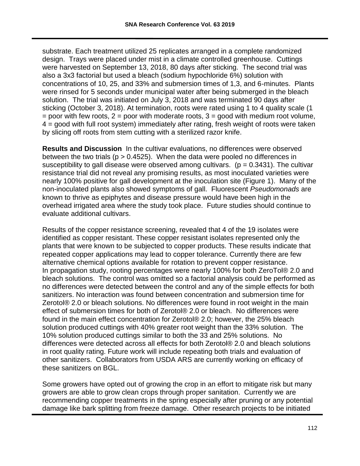substrate. Each treatment utilized 25 replicates arranged in a complete randomized design. Trays were placed under mist in a climate controlled greenhouse. Cuttings were harvested on September 13, 2018, 80 days after sticking. The second trial was also a 3x3 factorial but used a bleach (sodium hypochloride 6%) solution with concentrations of 10, 25, and 33% and submersion times of 1,3, and 6-minutes. Plants were rinsed for 5 seconds under municipal water after being submerged in the bleach solution. The trial was initiated on July 3, 2018 and was terminated 90 days after sticking (October 3, 2018). At termination, roots were rated using 1 to 4 quality scale (1  $=$  poor with few roots,  $2 =$  poor with moderate roots,  $3 =$  good with medium root volume, 4 = good with full root system) immediately after rating, fresh weight of roots were taken by slicing off roots from stem cutting with a sterilized razor knife.

**Results and Discussion** In the cultivar evaluations, no differences were observed between the two trials ( $p > 0.4525$ ). When the data were pooled no differences in susceptibility to gall disease were observed among cultivars. ( $p = 0.3431$ ). The cultivar resistance trial did not reveal any promising results, as most inoculated varieties were nearly 100% positive for gall development at the inoculation site (Figure 1). Many of the non-inoculated plants also showed symptoms of gall. Fluorescent *Pseudomonads* are known to thrive as epiphytes and disease pressure would have been high in the overhead irrigated area where the study took place. Future studies should continue to evaluate additional cultivars.

Results of the copper resistance screening, revealed that 4 of the 19 isolates were identified as copper resistant. These copper resistant isolates represented only the plants that were known to be subjected to copper products. These results indicate that repeated copper applications may lead to copper tolerance. Currently there are few alternative chemical options available for rotation to prevent copper resistance. In propagation study, rooting percentages were nearly 100% for both ZeroTol® 2.0 and bleach solutions. The control was omitted so a factorial analysis could be performed as no differences were detected between the control and any of the simple effects for both sanitizers. No interaction was found between concentration and submersion time for Zerotol® 2.0 or bleach solutions. No differences were found in root weight in the main effect of submersion times for both of Zerotol® 2.0 or bleach. No differences were found in the main effect concentration for Zerotol® 2.0; however, the 25% bleach solution produced cuttings with 40% greater root weight than the 33% solution. The 10% solution produced cuttings similar to both the 33 and 25% solutions. No differences were detected across all effects for both Zerotol® 2.0 and bleach solutions in root quality rating. Future work will include repeating both trials and evaluation of other sanitizers. Collaborators from USDA ARS are currently working on efficacy of these sanitizers on BGL.

Some growers have opted out of growing the crop in an effort to mitigate risk but many growers are able to grow clean crops through proper sanitation. Currently we are recommending copper treatments in the spring especially after pruning or any potential damage like bark splitting from freeze damage. Other research projects to be initiated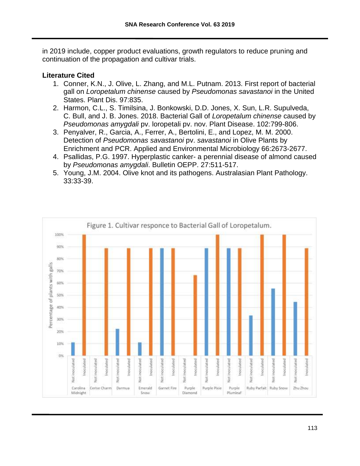in 2019 include, copper product evaluations, growth regulators to reduce pruning and continuation of the propagation and cultivar trials.

## **Literature Cited**

- 1. Conner, K.N., J. Olive, L. Zhang, and M.L. Putnam. 2013. First report of bacterial gall on *Loropetalum chinense* caused by *Pseudomonas savastanoi* in the United States. Plant Dis. 97:835.
- 2. Harmon, C.L., S. Timilsina, J. Bonkowski, D.D. Jones, X. Sun, L.R. Supulveda, C. Bull, and J. B. Jones. 2018. Bacterial Gall of *Loropetalum chinense* caused by *Pseudomonas amygdali* pv. loropetali pv. nov. Plant Disease. 102:799-806.
- 3. Penyalver, R., Garcia, A., Ferrer, A., Bertolini, E., and Lopez, M. M. 2000. Detection of *Pseudomonas savastanoi* pv. *savastanoi* in Olive Plants by Enrichment and PCR. Applied and Environmental Microbiology 66:2673-2677.
- 4. Psallidas, P.G. 1997. Hyperplastic canker- a perennial disease of almond caused by *Pseudomonas amygdali*. Bulletin OEPP. 27:511-517.
- 5. Young, J.M. 2004. Olive knot and its pathogens. Australasian Plant Pathology. 33:33-39.

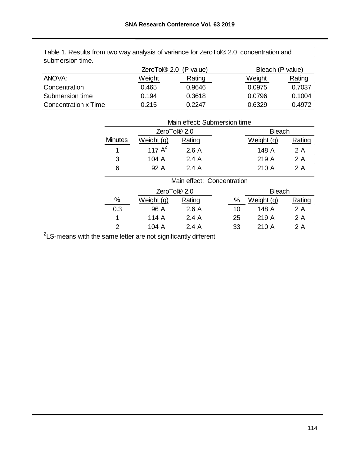|        |        |                                    | Bleach (P value) |  |  |
|--------|--------|------------------------------------|------------------|--|--|
| Weight | Rating | Weight                             | Rating           |  |  |
| 0.465  | 0.9646 | 0.0975                             | 0.7037           |  |  |
| 0.194  | 0.3618 | 0.0796                             | 0.1004           |  |  |
| 0.215  | 0.2247 | 0.6329                             | 0.4972           |  |  |
|        |        | ZeroTol <sup>®</sup> 2.0 (P value) |                  |  |  |

| Table 1. Results from two way analysis of variance for ZeroTol® 2.0 concentration and |  |  |
|---------------------------------------------------------------------------------------|--|--|
| submersion time.                                                                      |  |  |

| ANOVA:                      |                              | Weight                   | Rating                   |               | Weight        | Rating |
|-----------------------------|------------------------------|--------------------------|--------------------------|---------------|---------------|--------|
| Concentration               |                              | 0.465                    | 0.9646                   |               | 0.0975        | 0.7037 |
| Submersion time             |                              | 0.194                    | 0.3618                   |               | 0.0796        | 0.1004 |
| <b>Concentration x Time</b> |                              | 0.215                    | 0.2247                   |               | 0.6329        | 0.4972 |
|                             |                              |                          |                          |               |               |        |
|                             | Main effect: Submersion time |                          |                          |               |               |        |
|                             |                              | ZeroTol <sup>®</sup> 2.0 |                          | <b>Bleach</b> |               |        |
|                             | <b>Minutes</b>               | Weight (g)               | Rating                   |               | Weight (g)    | Rating |
|                             | 1                            | 117 $A^Z$                | 2.6A                     |               | 148 A         | 2 A    |
|                             | 3                            | 104 A                    | 2.4A                     |               | 219 A         | 2 A    |
|                             | 6                            | 92 A                     | 2.4A                     |               | 210 A         | 2 A    |
|                             | Main effect: Concentration   |                          |                          |               |               |        |
|                             |                              |                          | ZeroTol <sup>®</sup> 2.0 |               | <b>Bleach</b> |        |
|                             | $\%$                         | Weight (g)               | Rating                   | $\%$          | Weight (g)    | Rating |
|                             | 0.3                          | 96 A                     | 2.6A                     | 10            | 148 A         | 2 A    |
|                             | 1                            | 114 A                    | 2.4A                     | 25            | 219 A         | 2 A    |
|                             | $\overline{2}$               | 104 A                    | 2.4A                     | 33            | 210 A         | 2 A    |
|                             |                              |                          |                          |               |               |        |
|                             |                              |                          |                          |               |               |        |
|                             |                              |                          |                          |               |               | 114    |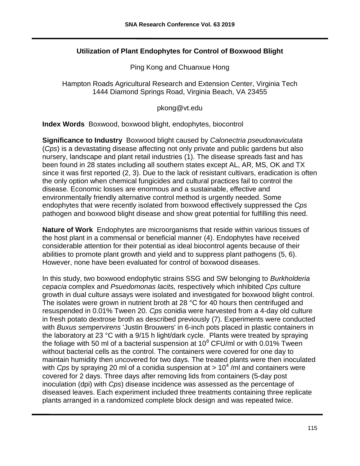## **Utilization of Plant Endophytes for Control of Boxwood Blight**

Ping Kong and Chuanxue Hong

Hampton Roads Agricultural Research and Extension Center, Virginia Tech 1444 Diamond Springs Road, Virginia Beach, VA 23455

pkong@vt.edu

**Index Words** Boxwood, boxwood blight, endophytes, biocontrol

**Significance to Industry** Boxwood blight caused by *Calonectria pseudonaviculata* (*Cps*) is a devastating disease affecting not only private and public gardens but also nursery, landscape and plant retail industries (1). The disease spreads fast and has been found in 28 states including all southern states except AL, AR, MS, OK and TX since it was first reported (2, 3). Due to the lack of resistant cultivars, eradication is often the only option when chemical fungicides and cultural practices fail to control the disease. Economic losses are enormous and a sustainable, effective and environmentally friendly alternative control method is urgently needed. Some endophytes that were recently isolated from boxwood effectively suppressed the *Cps* pathogen and boxwood blight disease and show great potential for fulfilling this need.

**Nature of Work** Endophytes are microorganisms that reside within various tissues of the host plant in a commensal or beneficial manner (4). Endophytes have received considerable attention for their potential as ideal biocontrol agents because of their abilities to promote plant growth and yield and to suppress plant pathogens (5, 6). However, none have been evaluated for control of boxwood diseases.

In this study, two boxwood endophytic strains SSG and SW belonging to *Burkholderia cepacia* complex and *Psuedomonas lacits,* respectively which inhibited *Cps* culture growth in dual culture assays were isolated and investigated for boxwood blight control. The isolates were grown in nutrient broth at 28 °C for 40 hours then centrifuged and resuspended in 0.01% Tween 20. *Cps* conidia were harvested from a 4-day old culture in fresh potato dextrose broth as described previously (7). Experiments were conducted with *Buxus sempervirens* 'Justin Brouwers' in 6-inch pots placed in plastic containers in the laboratory at 23 °C with a 9/15 h light/dark cycle. Plants were treated by spraying the foliage with 50 ml of a bacterial suspension at  $10^8$  CFU/ml or with 0.01% Tween without bacterial cells as the control. The containers were covered for one day to maintain humidity then uncovered for two days. The treated plants were then inoculated with *Cps* by spraying 20 ml of a conidia suspension at > 10<sup>4</sup>/ml and containers were covered for 2 days. Three days after removing lids from containers (5-day post inoculation (dpi) with *Cps*) disease incidence was assessed as the percentage of diseased leaves. Each experiment included three treatments containing three replicate plants arranged in a randomized complete block design and was repeated twice.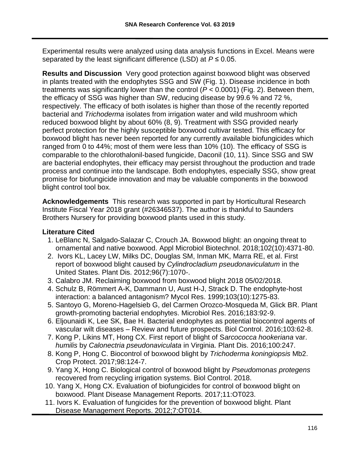Experimental results were analyzed using data analysis functions in Excel. Means were separated by the least significant difference (LSD) at *P* ≤ 0.05.

**Results and Discussion** Very good protection against boxwood blight was observed in plants treated with the endophytes SSG and SW (Fig. 1). Disease incidence in both treatments was significantly lower than the control (*P* < 0.0001) (Fig. 2). Between them, the efficacy of SSG was higher than SW, reducing disease by 99.6 % and 72 %, respectively. The efficacy of both isolates is higher than those of the recently reported bacterial and *Trichoderma* isolates from irrigation water and wild mushroom which reduced boxwood blight by about 60% (8, 9). Treatment with SSG provided nearly perfect protection for the highly susceptible boxwood cultivar tested. This efficacy for boxwood blight has never been reported for any currently available biofungicides which ranged from 0 to 44%; most of them were less than 10% (10). The efficacy of SSG is comparable to the chlorothalonil-based fungicide, Daconil (10, 11). Since SSG and SW are bacterial endophytes, their efficacy may persist throughout the production and trade process and continue into the landscape. Both endophytes, especially SSG, show great promise for biofungicide innovation and may be valuable components in the boxwood blight control tool box.

**Acknowledgements** This research was supported in part by Horticultural Research Institute Fiscal Year 2018 grant (#26346537). The author is thankful to Saunders Brothers Nursery for providing boxwood plants used in this study.

## **Literature Cited**

- 1. LeBlanc N, Salgado-Salazar C, Crouch JA. Boxwood blight: an ongoing threat to ornamental and native boxwood. Appl Microbiol Biotechnol. 2018;102(10):4371-80.
- 2. Ivors KL, Lacey LW, Milks DC, Douglas SM, Inman MK, Marra RE, et al. First report of boxwood blight caused by *Cylindrocladium pseudonaviculatum* in the United States. Plant Dis. 2012;96(7):1070-.
- 3. Calabro JM. Reclaiming boxwood from boxwood blight 2018 05/02/2018.
- 4. Schulz B, Römmert A-K, Dammann U, Aust H-J, Strack D. The endophyte-host interaction: a balanced antagonism? Mycol Res. 1999;103(10):1275-83.
- 5. Santoyo G, Moreno-Hagelsieb G, del Carmen Orozco-Mosqueda M, Glick BR. Plant growth-promoting bacterial endophytes. Microbiol Res. 2016;183:92-9.
- 6. Eljounaidi K, Lee SK, Bae H. Bacterial endophytes as potential biocontrol agents of vascular wilt diseases – Review and future prospects. Biol Control. 2016;103:62-8.
- 7. Kong P, Likins MT, Hong CX. First report of blight of S*arcococca hookeriana* var. *humilis* by *Calonectria pseudonaviculata* in Virginia. Plant Dis. 2016;100:247.
- 8. Kong P, Hong C. Biocontrol of boxwood blight by *Trichoderma koningiopsis* Mb2. Crop Protect. 2017;98:124-7.
- 9. Yang X, Hong C. Biological control of boxwood blight by *Pseudomonas protegens* recovered from recycling irrigation systems. Biol Control. 2018.
- 10. Yang X, Hong CX. Evaluation of biofungicides for control of boxwood blight on boxwood. Plant Disease Management Reports. 2017;11:OT023.
- 11. Ivors K. Evaluation of fungicides for the prevention of boxwood blight. Plant Disease Management Reports. 2012;7:OT014.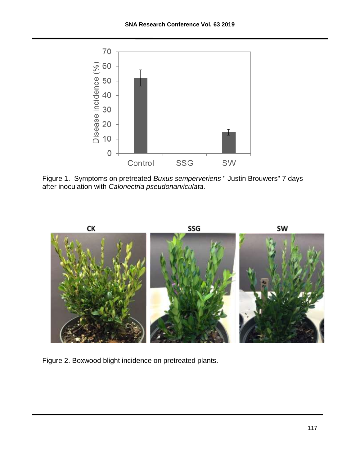

Figure 1. Symptoms on pretreated *Buxus semperveriens* " Justin Brouwers" 7 days after inoculation with *Calonectria pseudonarviculata.*



Figure 2. Boxwood blight incidence on pretreated plants.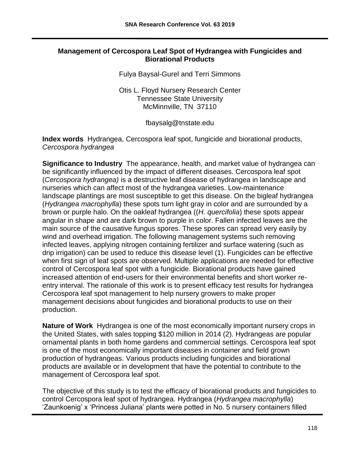## **Management of Cercospora Leaf Spot of Hydrangea with Fungicides and Biorational Products**

Fulya Baysal-Gurel and Terri Simmons

Otis L. Floyd Nursery Research Center Tennessee State University McMinnville, TN 37110

fbaysalg@tnstate.edu

**Index words** Hydrangea, Cercospora leaf spot, fungicide and biorational products, *Cercospora hydrangea*

**Significance to Industry** The appearance, health, and market value of hydrangea can be significantly influenced by the impact of different diseases. Cercospora leaf spot (*Cercospora hydrangea)* is a destructive leaf disease of hydrangea in landscape and nurseries which can affect most of the hydrangea varieties. Low-maintenance landscape plantings are most susceptible to get this disease. On the bigleaf hydrangea (*Hydrangea macrophylla*) these spots turn light gray in color and are surrounded by a brown or purple halo. On the oakleaf hydrangea ((*H. quercifolia*) these spots appear angular in shape and are dark brown to purple in color. Fallen infected leaves are the main source of the causative fungus spores. These spores can spread very easily by wind and overhead irrigation. The following management systems such removing infected leaves, applying nitrogen containing fertilizer and surface watering (such as drip irrigation) can be used to reduce this disease level (1). Fungicides can be effective when first sign of leaf spots are observed. Multiple applications are needed for effective control of Cercospora leaf spot with a fungicide. Biorational products have gained increased attention of end-users for their environmental benefits and short worker reentry interval. The rationale of this work is to present efficacy test results for hydrangea Cercospora leaf spot management to help nursery growers to make proper management decisions about fungicides and biorational products to use on their production.

**Nature of Work** Hydrangea is one of the most economically important nursery crops in the United States, with sales topping \$120 million in 2014 (2). Hydrangeas are popular ornamental plants in both home gardens and commercial settings. Cercospora leaf spot is one of the most economically important diseases in container and field grown production of hydrangeas. Various products including fungicides and biorational products are available or in development that have the potential to contribute to the management of Cercospora leaf spot.

The objective of this study is to test the efficacy of biorational products and fungicides to control Cercospora leaf spot of hydrangea. Hydrangea (*Hydrangea macrophylla*) 'Zaunkoenig' x 'Princess Juliana' plants were potted in No. 5 nursery containers filled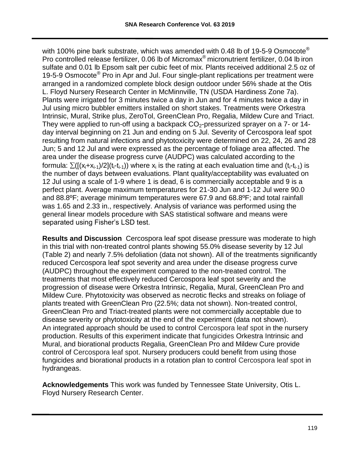with 100% pine bark substrate, which was amended with 0.48 lb of 19-5-9 Osmocote<sup>®</sup> Pro controlled release fertilizer, 0.06 lb of Micromax® micronutrient fertilizer, 0.04 lb iron sulfate and 0.01 lb Epsom salt per cubic feet of mix. Plants received additional 2.5 oz of 19-5-9 Osmocote<sup>®</sup> Pro in Apr and Jul. Four single-plant replications per treatment were arranged in a randomized complete block design outdoor under 56% shade at the Otis L. Floyd Nursery Research Center in McMinnville, TN (USDA Hardiness Zone 7a). Plants were irrigated for 3 minutes twice a day in Jun and for 4 minutes twice a day in Jul using micro bubbler emitters installed on short stakes. Treatments were Orkestra Intrinsic, Mural, Strike plus, ZeroTol, GreenClean Pro, Regalia, Mildew Cure and Triact. They were applied to run-off using a backpack  $CO<sub>2</sub>$ -pressurized sprayer on a 7- or 14day interval beginning on 21 Jun and ending on 5 Jul. Severity of Cercospora leaf spot resulting from natural infections and phytotoxicity were determined on 22, 24, 26 and 28 Jun; 5 and 12 Jul and were expressed as the percentage of foliage area affected. The area under the disease progress curve (AUDPC) was calculated according to the formula:  $\sum([(x_i+x_{i-1})/2](t_i-t_{i-1}))$  where  $x_i$  is the rating at each evaluation time and  $(t_i-t_{i-1})$  is the number of days between evaluations. Plant quality/acceptability was evaluated on 12 Jul using a scale of 1-9 where 1 is dead, 6 is commercially acceptable and 9 is a perfect plant. Average maximum temperatures for 21-30 Jun and 1-12 Jul were 90.0 and 88.8ºF; average minimum temperatures were 67.9 and 68.8ºF; and total rainfall was 1.65 and 2.33 in., respectively. Analysis of variance was performed using the general linear models procedure with SAS statistical software and means were separated using Fisher's LSD test.

**Results and Discussion** Cercospora leaf spot disease pressure was moderate to high in this trial with non-treated control plants showing 55.0% disease severity by 12 Jul (Table 2) and nearly 7.5% defoliation (data not shown). All of the treatments significantly reduced Cercospora leaf spot severity and area under the disease progress curve (AUDPC) throughout the experiment compared to the non-treated control. The treatments that most effectively reduced Cercospora leaf spot severity and the progression of disease were Orkestra Intrinsic, Regalia, Mural, GreenClean Pro and Mildew Cure. Phytotoxicity was observed as necrotic flecks and streaks on foliage of plants treated with GreenClean Pro (22.5%; data not shown). Non-treated control, GreenClean Pro and Triact-treated plants were not commercially acceptable due to disease severity or phytotoxicity at the end of the experiment (data not shown). An integrated approach should be used to control Cercospora leaf spot in the nursery production. Results of this experiment indicate that fungicides Orkestra Intrinsic and Mural, and biorational products Regalia, GreenClean Pro and Mildew Cure provide control of Cercospora leaf spot. Nursery producers could benefit from using those fungicides and biorational products in a rotation plan to control Cercospora leaf spot in hydrangeas.

**Acknowledgements** This work was funded by Tennessee State University, Otis L. Floyd Nursery Research Center.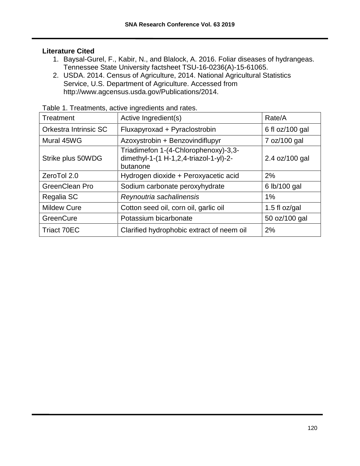## **Literature Cited**

- 1. Baysal-Gurel, F., Kabir, N., and Blalock, A. 2016. Foliar diseases of hydrangeas. Tennessee State University factsheet TSU-16-0236(A)-15-61065.
- 2. USDA. 2014. Census of Agriculture, 2014. National Agricultural Statistics Service, U.S. Department of Agriculture. Accessed from http://www.agcensus.usda.gov/Publications/2014.

| <b>Treatment</b>      | Active Ingredient(s)                                                                       | Rate/A          |
|-----------------------|--------------------------------------------------------------------------------------------|-----------------|
| Orkestra Intrinsic SC | Fluxapyroxad + Pyraclostrobin                                                              | 6 fl oz/100 gal |
| Mural 45WG            | Azoxystrobin + Benzovindiflupyr                                                            | 7 oz/100 gal    |
| Strike plus 50WDG     | Triadimefon 1-(4-Chlorophenoxy)-3,3-<br>dimethyl-1-(1 H-1,2,4-triazol-1-yl)-2-<br>butanone | 2.4 oz/100 gal  |
| ZeroTol 2.0           | Hydrogen dioxide + Peroxyacetic acid                                                       | 2%              |
| GreenClean Pro        | Sodium carbonate peroxyhydrate                                                             | 6 lb/100 gal    |
| Regalia SC            | Reynoutria sachalinensis                                                                   | $1\%$           |
| <b>Mildew Cure</b>    | Cotton seed oil, corn oil, garlic oil                                                      | 1.5 fl $oz/gal$ |
| GreenCure             | Potassium bicarbonate                                                                      | 50 oz/100 gal   |
| <b>Triact 70EC</b>    | Clarified hydrophobic extract of neem oil                                                  | 2%              |

Table 1. Treatments, active ingredients and rates.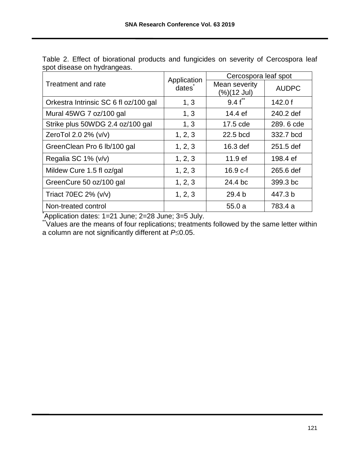|                                       | Application | Cercospora leaf spot         |              |  |  |
|---------------------------------------|-------------|------------------------------|--------------|--|--|
| Treatment and rate                    | dates       | Mean severity<br>(%)(12 Jul) | <b>AUDPC</b> |  |  |
| Orkestra Intrinsic SC 6 fl oz/100 gal | 1, 3        | $9.4 f^{\ast}$               | 142.0 $f$    |  |  |
| Mural 45WG 7 oz/100 gal               | 1, 3        | 14.4 ef                      | 240.2 def    |  |  |
| Strike plus 50WDG 2.4 oz/100 gal      | 1, 3        | 17.5 cde                     | 289, 6 cde   |  |  |
| ZeroTol 2.0 2% (v/v)                  | 1, 2, 3     | 22.5 bcd                     | 332.7 bcd    |  |  |
| GreenClean Pro 6 lb/100 gal           | 1, 2, 3     | 16.3 def                     | 251.5 def    |  |  |
| Regalia SC 1% (v/v)                   | 1, 2, 3     | 11.9 <sub>ef</sub>           | 198.4 ef     |  |  |
| Mildew Cure 1.5 fl oz/gal             | 1, 2, 3     | $16.9 c-f$                   | 265.6 def    |  |  |
| GreenCure 50 oz/100 gal               | 1, 2, 3     | 24.4 bc                      | 399.3 bc     |  |  |
| Triact 70EC 2% (v/v)                  | 1, 2, 3     | 29.4 <sub>b</sub>            | 447.3 b      |  |  |
| Non-treated control                   |             | 55.0a                        | 783.4 a      |  |  |

Table 2. Effect of biorational products and fungicides on severity of Cercospora leaf spot disease on hydrangeas.

\*Application dates: 1=21 June; 2=28 June; 3=5 July.

\*\*Values are the means of four replications; treatments followed by the same letter within a column are not significantly different at  $P\leq 0.05$ .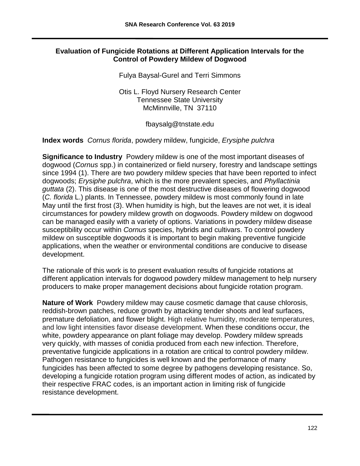## **Evaluation of Fungicide Rotations at Different Application Intervals for the Control of Powdery Mildew of Dogwood**

Fulya Baysal-Gurel and Terri Simmons

Otis L. Floyd Nursery Research Center Tennessee State University McMinnville, TN 37110

fbaysalg@tnstate.edu

## **Index words** *Cornus florida*, powdery mildew, fungicide, *Erysiphe pulchra*

**Significance to Industry** Powdery mildew is one of the most important diseases of dogwood (*Cornus* spp.) in containerized or field nursery, forestry and landscape settings since 1994 (1). There are two powdery mildew species that have been reported to infect dogwoods; *Erysiphe pulchra*, which is the more prevalent species, and *Phyllactinia guttata* (2). This disease is one of the most destructive diseases of flowering dogwood (*C. florida* L.) plants. In Tennessee, powdery mildew is most commonly found in late May until the first frost (3). When humidity is high, but the leaves are not wet, it is ideal circumstances for powdery mildew growth on dogwoods. Powdery mildew on dogwood can be managed easily with a variety of options. Variations in powdery mildew disease susceptibility occur within *Cornus* species, hybrids and cultivars. To control powdery mildew on susceptible dogwoods it is important to begin making preventive fungicide applications, when the weather or environmental conditions are conducive to disease development.

The rationale of this work is to present evaluation results of fungicide rotations at different application intervals for dogwood powdery mildew management to help nursery producers to make proper management decisions about fungicide rotation program.

**Nature of Work** Powdery mildew may cause cosmetic damage that cause chlorosis, reddish-brown patches, reduce growth by attacking tender shoots and leaf surfaces, premature defoliation, and flower blight. High relative humidity, moderate temperatures, and low light intensities favor disease development. When these conditions occur, the white, powdery appearance on plant foliage may develop. Powdery mildew spreads very quickly, with masses of conidia produced from each new infection. Therefore, preventative fungicide applications in a rotation are critical to control powdery mildew. Pathogen resistance to fungicides is well known and the performance of many fungicides has been affected to some degree by pathogens developing resistance. So, developing a fungicide rotation program using different modes of action, as indicated by their respective FRAC codes, is an important action in limiting risk of fungicide resistance development.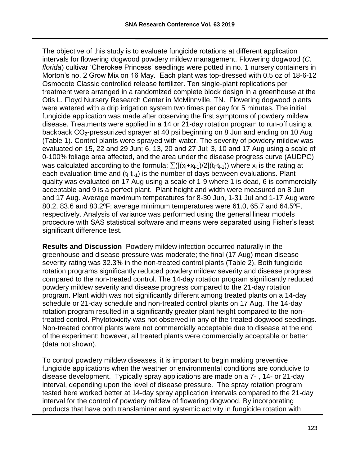The objective of this study is to evaluate fungicide rotations at different application intervals for flowering dogwood powdery mildew management. Flowering dogwood (*C. florida*) cultivar 'Cherokee Princess' seedlings were potted in no. 1 nursery containers in Morton's no. 2 Grow Mix on 16 May. Each plant was top-dressed with 0.5 oz of 18-6-12 Osmocote Classic controlled release fertilizer. Ten single-plant replications per treatment were arranged in a randomized complete block design in a greenhouse at the Otis L. Floyd Nursery Research Center in McMinnville, TN. Flowering dogwood plants were watered with a drip irrigation system two times per day for 5 minutes. The initial fungicide application was made after observing the first symptoms of powdery mildew disease. Treatments were applied in a 14 or 21-day rotation program to run-off using a backpack CO<sub>2</sub>-pressurized sprayer at 40 psi beginning on 8 Jun and ending on 10 Aug (Table 1). Control plants were sprayed with water. The severity of powdery mildew was evaluated on 15, 22 and 29 Jun; 6, 13, 20 and 27 Jul; 3, 10 and 17 Aug using a scale of 0-100% foliage area affected, and the area under the disease progress curve (AUDPC) was calculated according to the formula:  $\sum([(x_i+x_{i-1})/2](t_i-t_{i-1}))$  where  $x_i$  is the rating at each evaluation time and  $(t_i-t_{i-1})$  is the number of days between evaluations. Plant quality was evaluated on 17 Aug using a scale of 1-9 where 1 is dead, 6 is commercially acceptable and 9 is a perfect plant. Plant height and width were measured on 8 Jun and 17 Aug. Average maximum temperatures for 8-30 Jun, 1-31 Jul and 1-17 Aug were 80.2, 83.6 and 83.2ºF; average minimum temperatures were 61.0, 65.7 and 64.5ºF, respectively. Analysis of variance was performed using the general linear models procedure with SAS statistical software and means were separated using Fisher's least significant difference test.

**Results and Discussion** Powdery mildew infection occurred naturally in the greenhouse and disease pressure was moderate; the final (17 Aug) mean disease severity rating was 32.3% in the non-treated control plants (Table 2). Both fungicide rotation programs significantly reduced powdery mildew severity and disease progress compared to the non-treated control. The 14-day rotation program significantly reduced powdery mildew severity and disease progress compared to the 21-day rotation program. Plant width was not significantly different among treated plants on a 14-day schedule or 21-day schedule and non-treated control plants on 17 Aug. The 14-day rotation program resulted in a significantly greater plant height compared to the nontreated control. Phytotoxicity was not observed in any of the treated dogwood seedlings. Non-treated control plants were not commercially acceptable due to disease at the end of the experiment; however, all treated plants were commercially acceptable or better (data not shown).

To control powdery mildew diseases, it is important to begin making preventive fungicide applications when the weather or environmental conditions are conducive to disease development. Typically spray applications are made on a 7- , 14- or 21-day interval, depending upon the level of disease pressure. The spray rotation program tested here worked better at 14-day spray application intervals compared to the 21-day interval for the control of powdery mildew of flowering dogwood. By incorporating products that have both translaminar and systemic activity in fungicide rotation with